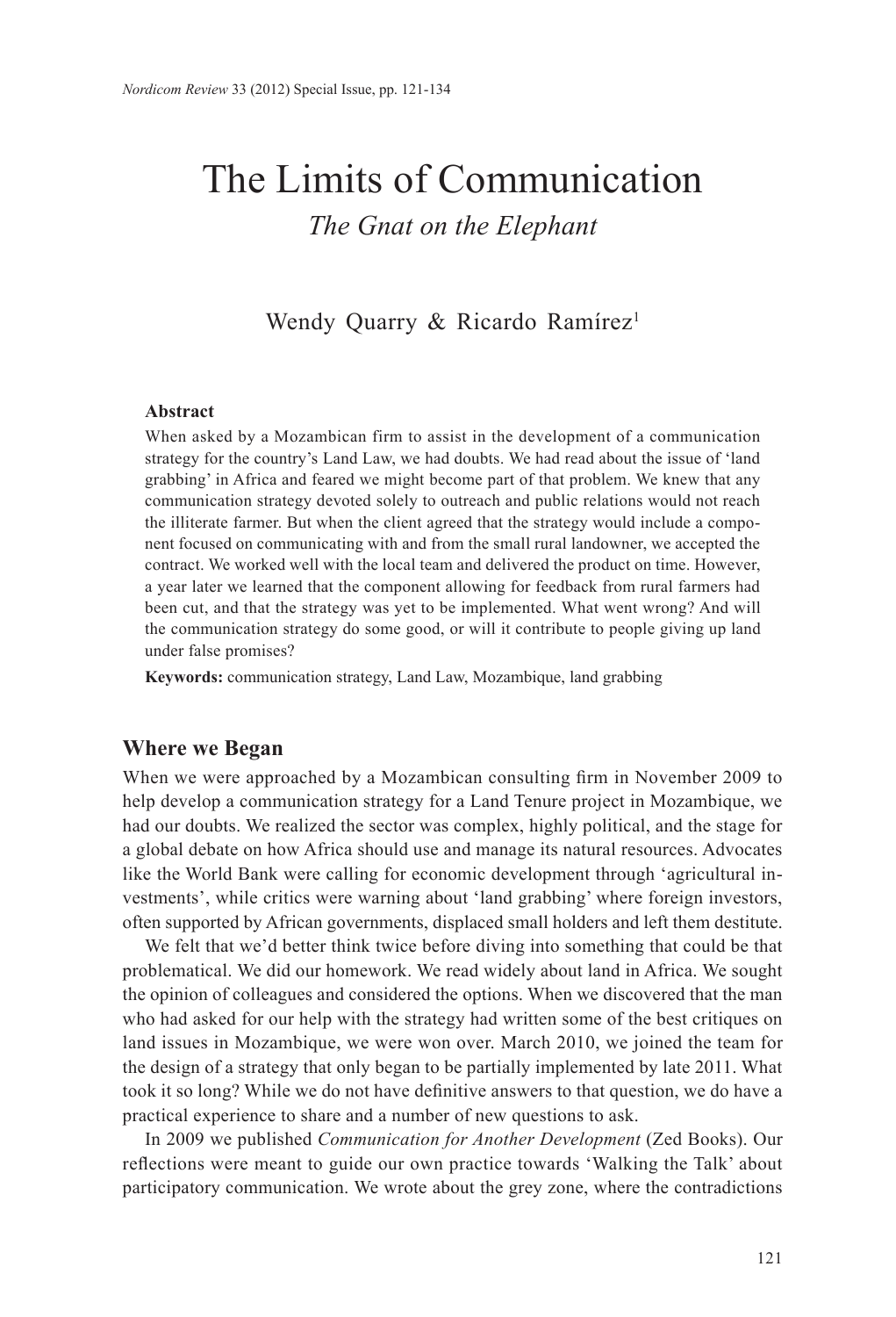# The Limits of Communication *The Gnat on the Elephant*

Wendy Quarry & Ricardo Ramírez<sup>1</sup>

## **Abstract**

When asked by a Mozambican firm to assist in the development of a communication strategy for the country's Land Law, we had doubts. We had read about the issue of 'land grabbing' in Africa and feared we might become part of that problem. We knew that any communication strategy devoted solely to outreach and public relations would not reach the illiterate farmer. But when the client agreed that the strategy would include a component focused on communicating with and from the small rural landowner, we accepted the contract. We worked well with the local team and delivered the product on time. However, a year later we learned that the component allowing for feedback from rural farmers had been cut, and that the strategy was yet to be implemented. What went wrong? And will the communication strategy do some good, or will it contribute to people giving up land under false promises?

**Keywords:** communication strategy, Land Law, Mozambique, land grabbing

# **Where we Began**

When we were approached by a Mozambican consulting firm in November 2009 to help develop a communication strategy for a Land Tenure project in Mozambique, we had our doubts. We realized the sector was complex, highly political, and the stage for a global debate on how Africa should use and manage its natural resources. Advocates like the World Bank were calling for economic development through 'agricultural investments', while critics were warning about 'land grabbing' where foreign investors, often supported by African governments, displaced small holders and left them destitute.

We felt that we'd better think twice before diving into something that could be that problematical. We did our homework. We read widely about land in Africa. We sought the opinion of colleagues and considered the options. When we discovered that the man who had asked for our help with the strategy had written some of the best critiques on land issues in Mozambique, we were won over. March 2010, we joined the team for the design of a strategy that only began to be partially implemented by late 2011. What took it so long? While we do not have definitive answers to that question, we do have a practical experience to share and a number of new questions to ask.

In 2009 we published *Communication for Another Development* (Zed Books). Our reflections were meant to guide our own practice towards 'Walking the Talk' about participatory communication. We wrote about the grey zone, where the contradictions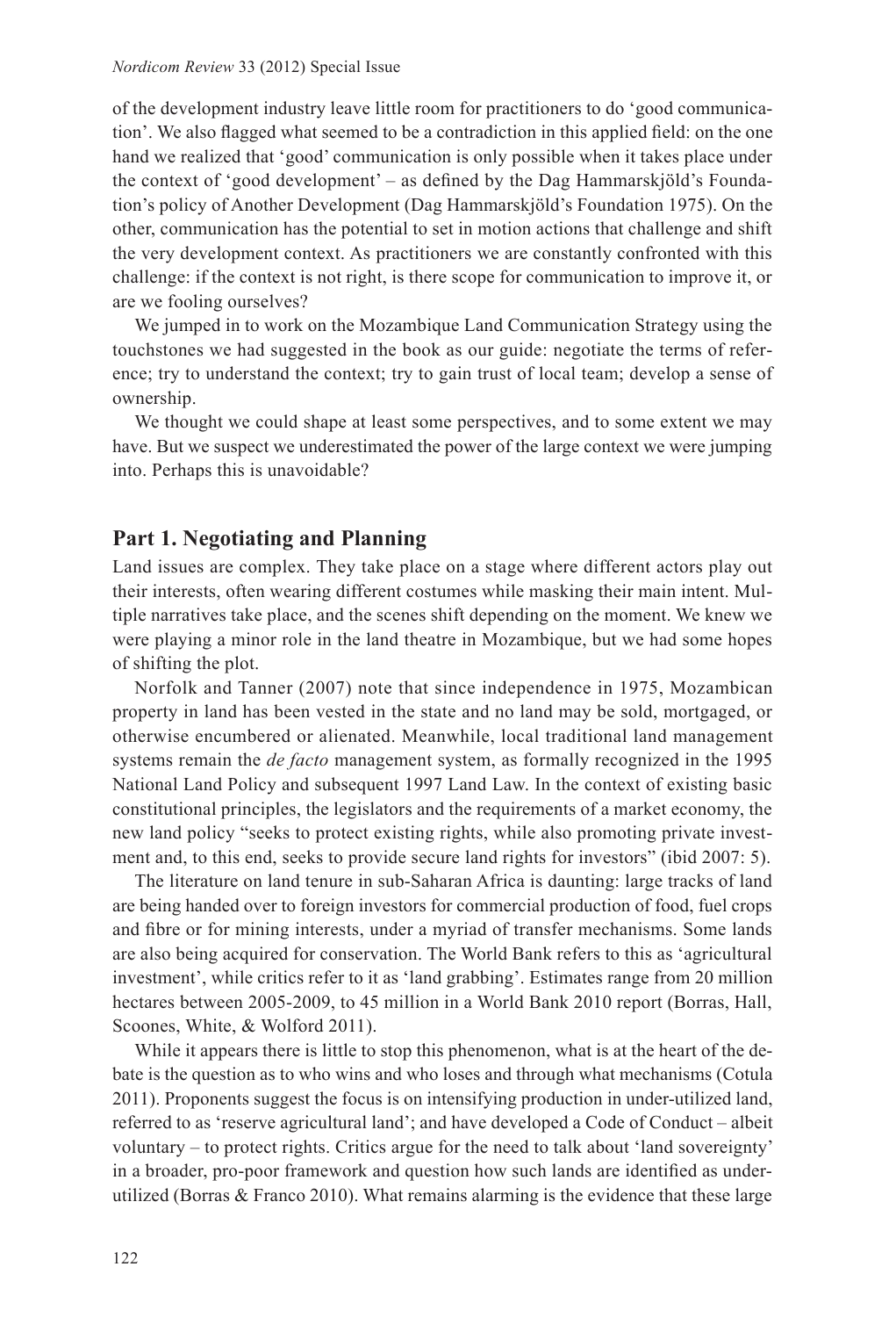of the development industry leave little room for practitioners to do 'good communication'. We also flagged what seemed to be a contradiction in this applied field: on the one hand we realized that 'good' communication is only possible when it takes place under the context of 'good development' – as defined by the Dag Hammarskjöld's Foundation's policy of Another Development (Dag Hammarskjöld's Foundation 1975). On the other, communication has the potential to set in motion actions that challenge and shift the very development context. As practitioners we are constantly confronted with this challenge: if the context is not right, is there scope for communication to improve it, or are we fooling ourselves?

We jumped in to work on the Mozambique Land Communication Strategy using the touchstones we had suggested in the book as our guide: negotiate the terms of reference; try to understand the context; try to gain trust of local team; develop a sense of ownership.

We thought we could shape at least some perspectives, and to some extent we may have. But we suspect we underestimated the power of the large context we were jumping into. Perhaps this is unavoidable?

# **Part 1. Negotiating and Planning**

Land issues are complex. They take place on a stage where different actors play out their interests, often wearing different costumes while masking their main intent. Multiple narratives take place, and the scenes shift depending on the moment. We knew we were playing a minor role in the land theatre in Mozambique, but we had some hopes of shifting the plot.

Norfolk and Tanner (2007) note that since independence in 1975, Mozambican property in land has been vested in the state and no land may be sold, mortgaged, or otherwise encumbered or alienated. Meanwhile, local traditional land management systems remain the *de facto* management system, as formally recognized in the 1995 National Land Policy and subsequent 1997 Land Law. In the context of existing basic constitutional principles, the legislators and the requirements of a market economy, the new land policy "seeks to protect existing rights, while also promoting private investment and, to this end, seeks to provide secure land rights for investors" (ibid 2007: 5).

The literature on land tenure in sub-Saharan Africa is daunting: large tracks of land are being handed over to foreign investors for commercial production of food, fuel crops and fibre or for mining interests, under a myriad of transfer mechanisms. Some lands are also being acquired for conservation. The World Bank refers to this as 'agricultural investment', while critics refer to it as 'land grabbing'. Estimates range from 20 million hectares between 2005-2009, to 45 million in a World Bank 2010 report (Borras, Hall, Scoones, White, & Wolford 2011).

While it appears there is little to stop this phenomenon, what is at the heart of the debate is the question as to who wins and who loses and through what mechanisms (Cotula 2011). Proponents suggest the focus is on intensifying production in under-utilized land, referred to as 'reserve agricultural land'; and have developed a Code of Conduct – albeit voluntary – to protect rights. Critics argue for the need to talk about 'land sovereignty' in a broader, pro-poor framework and question how such lands are identified as underutilized (Borras & Franco 2010). What remains alarming is the evidence that these large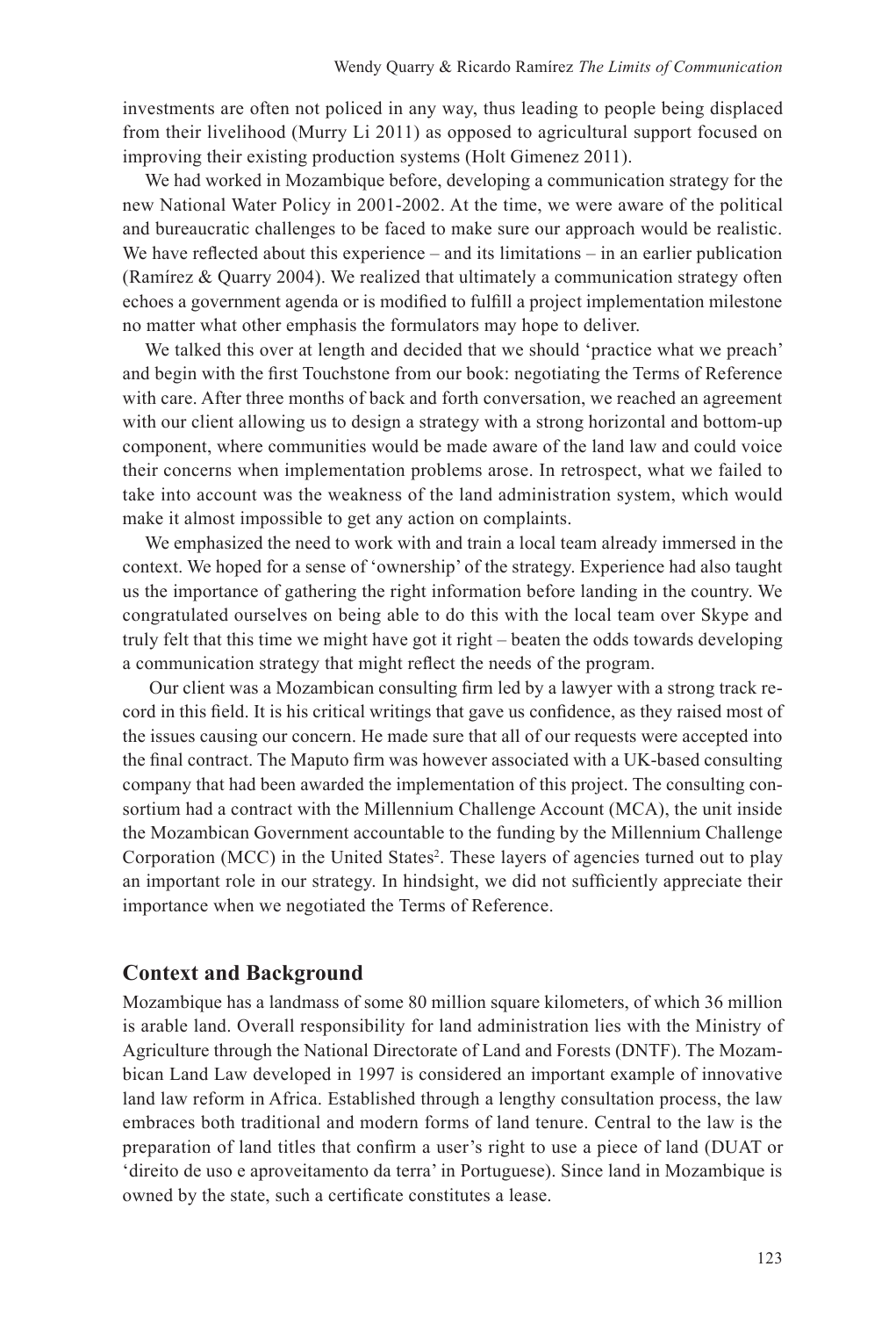investments are often not policed in any way, thus leading to people being displaced from their livelihood (Murry Li 2011) as opposed to agricultural support focused on improving their existing production systems (Holt Gimenez 2011).

We had worked in Mozambique before, developing a communication strategy for the new National Water Policy in 2001-2002. At the time, we were aware of the political and bureaucratic challenges to be faced to make sure our approach would be realistic. We have reflected about this experience – and its limitations – in an earlier publication (Ramírez  $&$  Quarry 2004). We realized that ultimately a communication strategy often echoes a government agenda or is modified to fulfill a project implementation milestone no matter what other emphasis the formulators may hope to deliver.

We talked this over at length and decided that we should 'practice what we preach' and begin with the first Touchstone from our book: negotiating the Terms of Reference with care. After three months of back and forth conversation, we reached an agreement with our client allowing us to design a strategy with a strong horizontal and bottom-up component, where communities would be made aware of the land law and could voice their concerns when implementation problems arose. In retrospect, what we failed to take into account was the weakness of the land administration system, which would make it almost impossible to get any action on complaints.

We emphasized the need to work with and train a local team already immersed in the context. We hoped for a sense of 'ownership' of the strategy. Experience had also taught us the importance of gathering the right information before landing in the country. We congratulated ourselves on being able to do this with the local team over Skype and truly felt that this time we might have got it right – beaten the odds towards developing a communication strategy that might reflect the needs of the program.

 Our client was a Mozambican consulting firm led by a lawyer with a strong track record in this field. It is his critical writings that gave us confidence, as they raised most of the issues causing our concern. He made sure that all of our requests were accepted into the final contract. The Maputo firm was however associated with a UK-based consulting company that had been awarded the implementation of this project. The consulting consortium had a contract with the Millennium Challenge Account (MCA), the unit inside the Mozambican Government accountable to the funding by the Millennium Challenge Corporation (MCC) in the United States<sup>2</sup>. These layers of agencies turned out to play an important role in our strategy. In hindsight, we did not sufficiently appreciate their importance when we negotiated the Terms of Reference.

# **Context and Background**

Mozambique has a landmass of some 80 million square kilometers, of which 36 million is arable land. Overall responsibility for land administration lies with the Ministry of Agriculture through the National Directorate of Land and Forests (DNTF). The Mozambican Land Law developed in 1997 is considered an important example of innovative land law reform in Africa. Established through a lengthy consultation process, the law embraces both traditional and modern forms of land tenure. Central to the law is the preparation of land titles that confirm a user's right to use a piece of land (DUAT or 'direito de uso e aproveitamento da terra' in Portuguese). Since land in Mozambique is owned by the state, such a certificate constitutes a lease.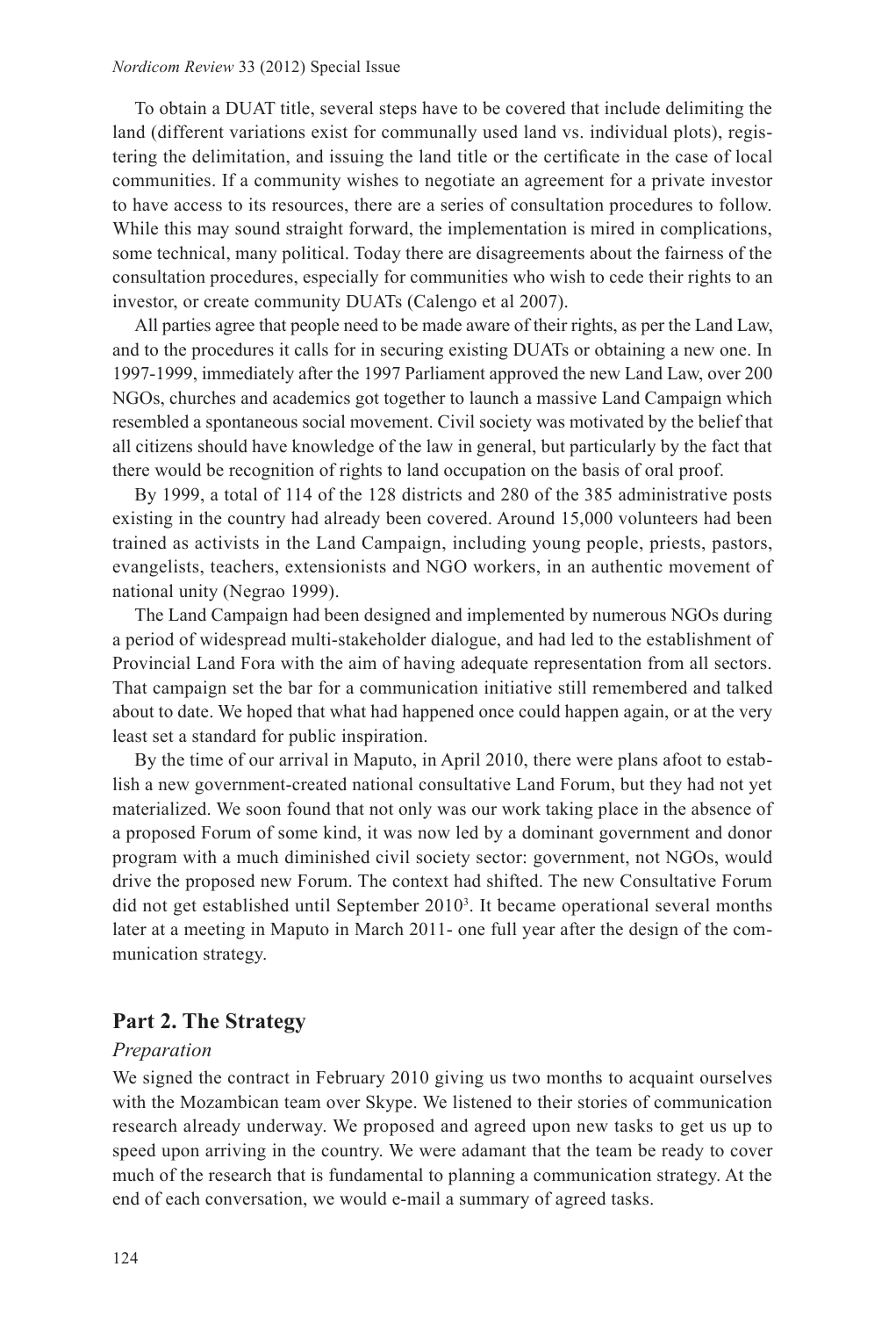#### *Nordicom Review* 33 (2012) Special Issue

To obtain a DUAT title, several steps have to be covered that include delimiting the land (different variations exist for communally used land vs. individual plots), registering the delimitation, and issuing the land title or the certificate in the case of local communities. If a community wishes to negotiate an agreement for a private investor to have access to its resources, there are a series of consultation procedures to follow. While this may sound straight forward, the implementation is mired in complications, some technical, many political. Today there are disagreements about the fairness of the consultation procedures, especially for communities who wish to cede their rights to an investor, or create community DUATs (Calengo et al 2007).

All parties agree that people need to be made aware of their rights, as per the Land Law, and to the procedures it calls for in securing existing DUATs or obtaining a new one. In 1997-1999, immediately after the 1997 Parliament approved the new Land Law, over 200 NGOs, churches and academics got together to launch a massive Land Campaign which resembled a spontaneous social movement. Civil society was motivated by the belief that all citizens should have knowledge of the law in general, but particularly by the fact that there would be recognition of rights to land occupation on the basis of oral proof.

By 1999, a total of 114 of the 128 districts and 280 of the 385 administrative posts existing in the country had already been covered. Around 15,000 volunteers had been trained as activists in the Land Campaign, including young people, priests, pastors, evangelists, teachers, extensionists and NGO workers, in an authentic movement of national unity (Negrao 1999).

The Land Campaign had been designed and implemented by numerous NGOs during a period of widespread multi-stakeholder dialogue, and had led to the establishment of Provincial Land Fora with the aim of having adequate representation from all sectors. That campaign set the bar for a communication initiative still remembered and talked about to date. We hoped that what had happened once could happen again, or at the very least set a standard for public inspiration.

By the time of our arrival in Maputo, in April 2010, there were plans afoot to establish a new government-created national consultative Land Forum, but they had not yet materialized. We soon found that not only was our work taking place in the absence of a proposed Forum of some kind, it was now led by a dominant government and donor program with a much diminished civil society sector: government, not NGOs, would drive the proposed new Forum. The context had shifted. The new Consultative Forum did not get established until September 20103 . It became operational several months later at a meeting in Maputo in March 2011- one full year after the design of the communication strategy.

# **Part 2. The Strategy**

#### *Preparation*

We signed the contract in February 2010 giving us two months to acquaint ourselves with the Mozambican team over Skype. We listened to their stories of communication research already underway. We proposed and agreed upon new tasks to get us up to speed upon arriving in the country. We were adamant that the team be ready to cover much of the research that is fundamental to planning a communication strategy. At the end of each conversation, we would e-mail a summary of agreed tasks.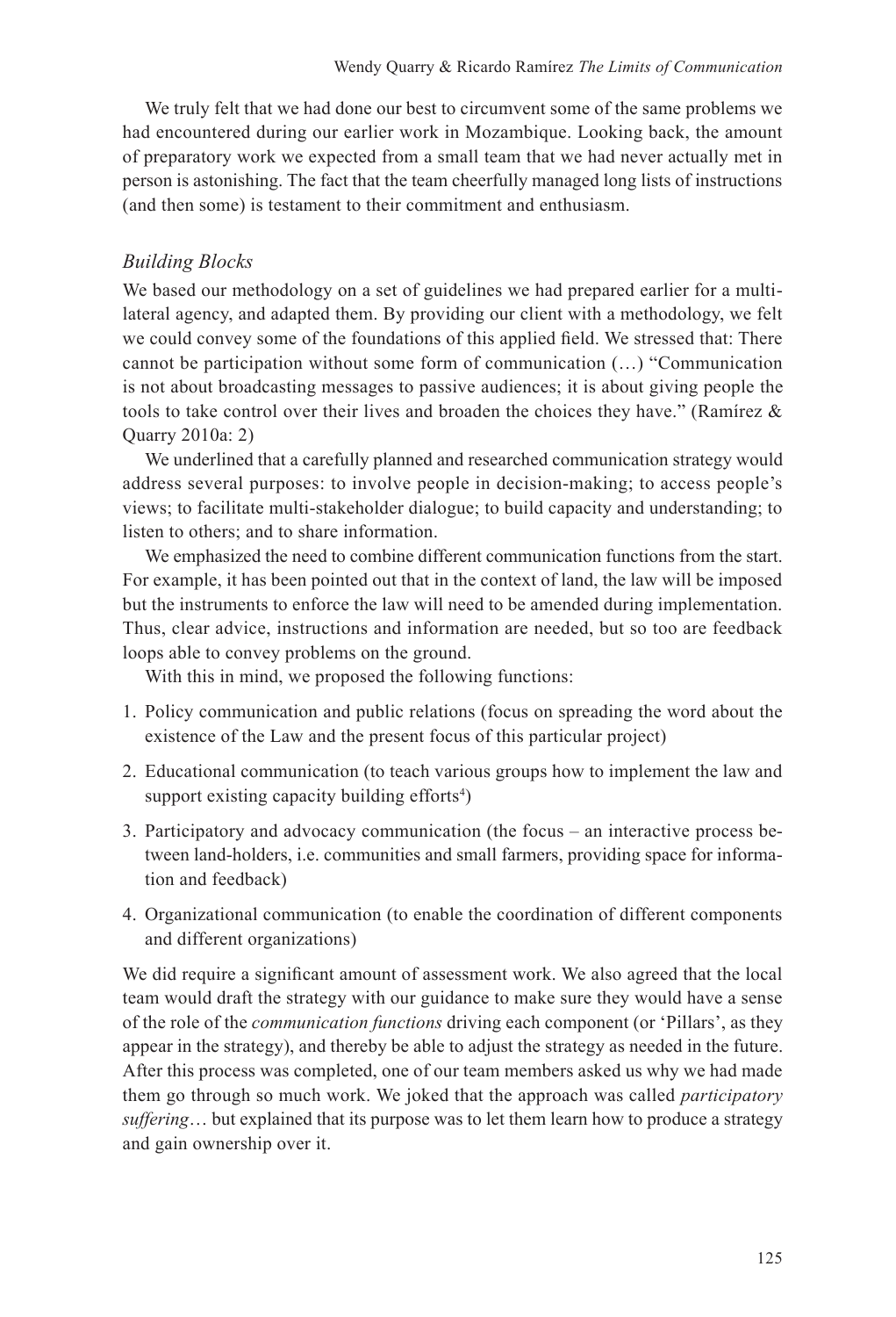We truly felt that we had done our best to circumvent some of the same problems we had encountered during our earlier work in Mozambique. Looking back, the amount of preparatory work we expected from a small team that we had never actually met in person is astonishing. The fact that the team cheerfully managed long lists of instructions (and then some) is testament to their commitment and enthusiasm.

# *Building Blocks*

We based our methodology on a set of guidelines we had prepared earlier for a multilateral agency, and adapted them. By providing our client with a methodology, we felt we could convey some of the foundations of this applied field. We stressed that: There cannot be participation without some form of communication (…) "Communication is not about broadcasting messages to passive audiences; it is about giving people the tools to take control over their lives and broaden the choices they have." (Ramírez  $\&$ Quarry 2010a: 2)

We underlined that a carefully planned and researched communication strategy would address several purposes: to involve people in decision-making; to access people's views; to facilitate multi-stakeholder dialogue; to build capacity and understanding; to listen to others; and to share information.

We emphasized the need to combine different communication functions from the start. For example, it has been pointed out that in the context of land, the law will be imposed but the instruments to enforce the law will need to be amended during implementation. Thus, clear advice, instructions and information are needed, but so too are feedback loops able to convey problems on the ground.

With this in mind, we proposed the following functions:

- 1. Policy communication and public relations (focus on spreading the word about the existence of the Law and the present focus of this particular project)
- 2. Educational communication (to teach various groups how to implement the law and support existing capacity building efforts<sup>4</sup>)
- 3. Participatory and advocacy communication (the focus an interactive process between land-holders, i.e. communities and small farmers, providing space for information and feedback)
- 4. Organizational communication (to enable the coordination of different components and different organizations)

We did require a significant amount of assessment work. We also agreed that the local team would draft the strategy with our guidance to make sure they would have a sense of the role of the *communication functions* driving each component (or 'Pillars', as they appear in the strategy), and thereby be able to adjust the strategy as needed in the future. After this process was completed, one of our team members asked us why we had made them go through so much work. We joked that the approach was called *participatory suffering*… but explained that its purpose was to let them learn how to produce a strategy and gain ownership over it.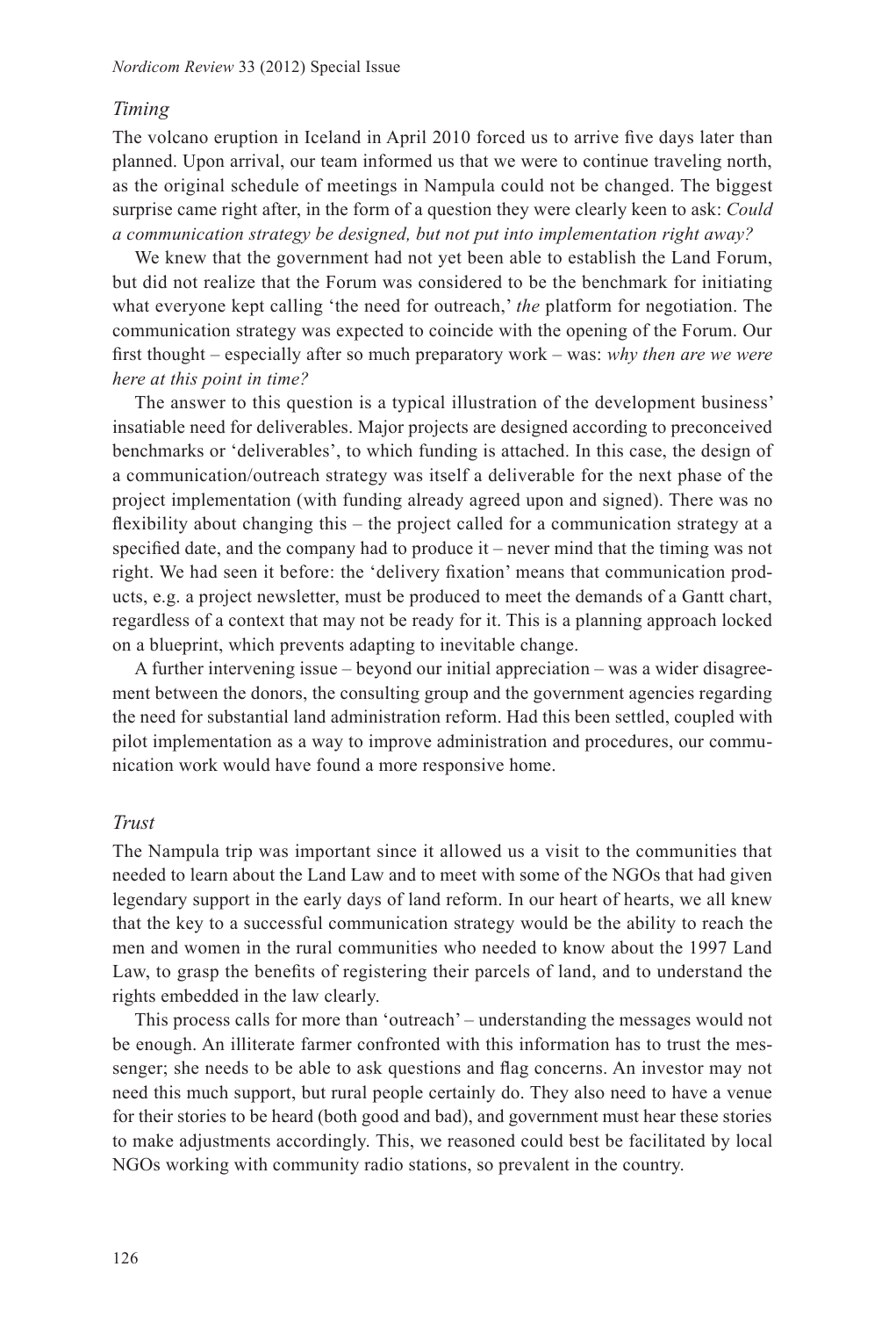#### *Timing*

The volcano eruption in Iceland in April 2010 forced us to arrive five days later than planned. Upon arrival, our team informed us that we were to continue traveling north, as the original schedule of meetings in Nampula could not be changed. The biggest surprise came right after, in the form of a question they were clearly keen to ask: *Could a communication strategy be designed, but not put into implementation right away?* 

We knew that the government had not yet been able to establish the Land Forum, but did not realize that the Forum was considered to be the benchmark for initiating what everyone kept calling 'the need for outreach,' *the* platform for negotiation. The communication strategy was expected to coincide with the opening of the Forum. Our first thought – especially after so much preparatory work – was: *why then are we were here at this point in time?* 

The answer to this question is a typical illustration of the development business' insatiable need for deliverables. Major projects are designed according to preconceived benchmarks or 'deliverables', to which funding is attached. In this case, the design of a communication/outreach strategy was itself a deliverable for the next phase of the project implementation (with funding already agreed upon and signed). There was no flexibility about changing this – the project called for a communication strategy at a specified date, and the company had to produce it – never mind that the timing was not right. We had seen it before: the 'delivery fixation' means that communication products, e.g. a project newsletter, must be produced to meet the demands of a Gantt chart, regardless of a context that may not be ready for it. This is a planning approach locked on a blueprint, which prevents adapting to inevitable change.

A further intervening issue – beyond our initial appreciation – was a wider disagreement between the donors, the consulting group and the government agencies regarding the need for substantial land administration reform. Had this been settled, coupled with pilot implementation as a way to improve administration and procedures, our communication work would have found a more responsive home.

## *Trust*

The Nampula trip was important since it allowed us a visit to the communities that needed to learn about the Land Law and to meet with some of the NGOs that had given legendary support in the early days of land reform. In our heart of hearts, we all knew that the key to a successful communication strategy would be the ability to reach the men and women in the rural communities who needed to know about the 1997 Land Law, to grasp the benefits of registering their parcels of land, and to understand the rights embedded in the law clearly.

This process calls for more than 'outreach' – understanding the messages would not be enough. An illiterate farmer confronted with this information has to trust the messenger; she needs to be able to ask questions and flag concerns. An investor may not need this much support, but rural people certainly do. They also need to have a venue for their stories to be heard (both good and bad), and government must hear these stories to make adjustments accordingly. This, we reasoned could best be facilitated by local NGOs working with community radio stations, so prevalent in the country.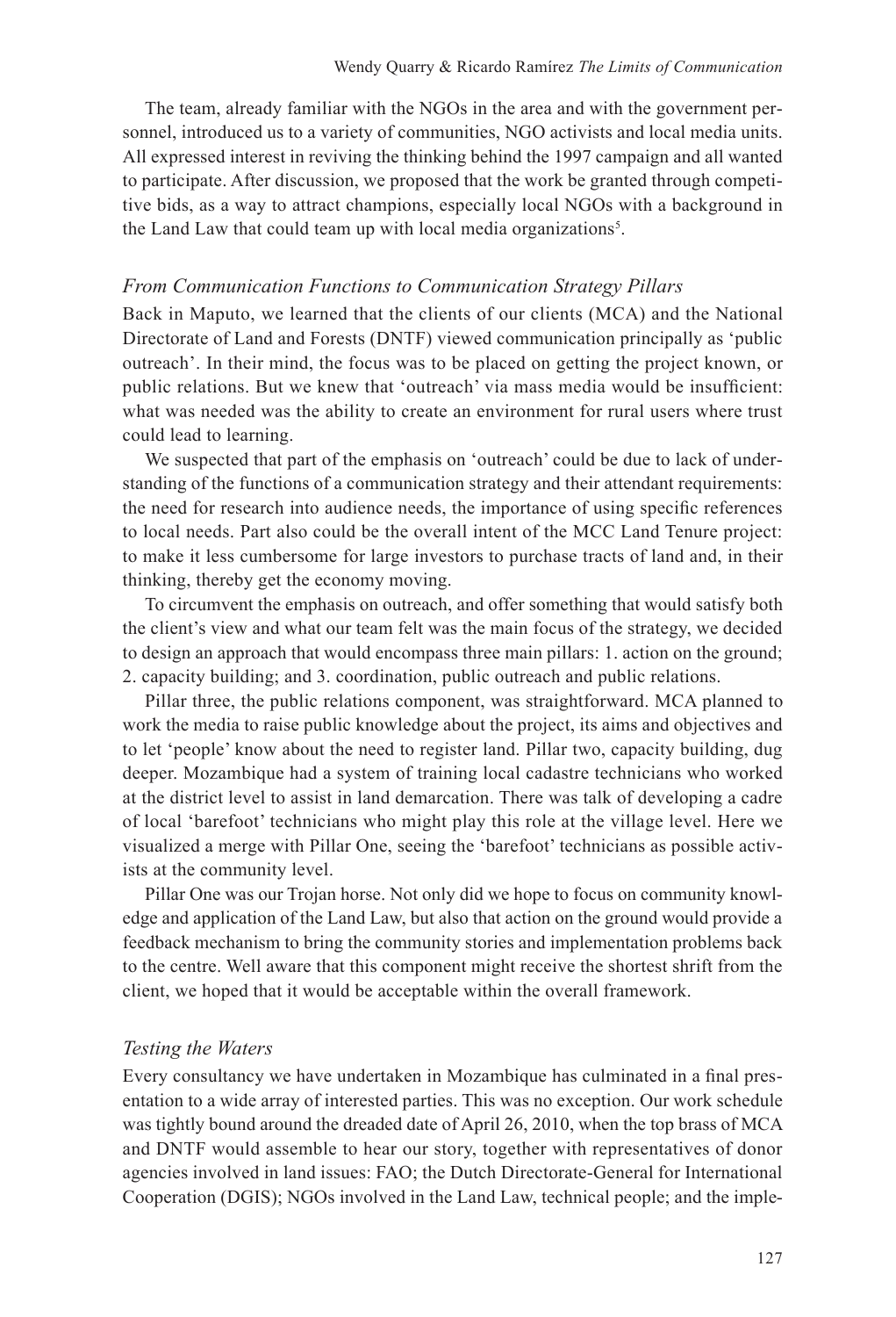The team, already familiar with the NGOs in the area and with the government personnel, introduced us to a variety of communities, NGO activists and local media units. All expressed interest in reviving the thinking behind the 1997 campaign and all wanted to participate. After discussion, we proposed that the work be granted through competitive bids, as a way to attract champions, especially local NGOs with a background in the Land Law that could team up with local media organizations<sup>5</sup>.

## *From Communication Functions to Communication Strategy Pillars*

Back in Maputo, we learned that the clients of our clients (MCA) and the National Directorate of Land and Forests (DNTF) viewed communication principally as 'public outreach'. In their mind, the focus was to be placed on getting the project known, or public relations. But we knew that 'outreach' via mass media would be insufficient: what was needed was the ability to create an environment for rural users where trust could lead to learning.

We suspected that part of the emphasis on 'outreach' could be due to lack of understanding of the functions of a communication strategy and their attendant requirements: the need for research into audience needs, the importance of using specific references to local needs. Part also could be the overall intent of the MCC Land Tenure project: to make it less cumbersome for large investors to purchase tracts of land and, in their thinking, thereby get the economy moving.

To circumvent the emphasis on outreach, and offer something that would satisfy both the client's view and what our team felt was the main focus of the strategy, we decided to design an approach that would encompass three main pillars: 1. action on the ground; 2. capacity building; and 3. coordination, public outreach and public relations.

Pillar three, the public relations component, was straightforward. MCA planned to work the media to raise public knowledge about the project, its aims and objectives and to let 'people' know about the need to register land. Pillar two, capacity building, dug deeper. Mozambique had a system of training local cadastre technicians who worked at the district level to assist in land demarcation. There was talk of developing a cadre of local 'barefoot' technicians who might play this role at the village level. Here we visualized a merge with Pillar One, seeing the 'barefoot' technicians as possible activists at the community level.

Pillar One was our Trojan horse. Not only did we hope to focus on community knowledge and application of the Land Law, but also that action on the ground would provide a feedback mechanism to bring the community stories and implementation problems back to the centre. Well aware that this component might receive the shortest shrift from the client, we hoped that it would be acceptable within the overall framework.

## *Testing the Waters*

Every consultancy we have undertaken in Mozambique has culminated in a final presentation to a wide array of interested parties. This was no exception. Our work schedule was tightly bound around the dreaded date of April 26, 2010, when the top brass of MCA and DNTF would assemble to hear our story, together with representatives of donor agencies involved in land issues: FAO; the Dutch Directorate-General for International Cooperation (DGIS); NGOs involved in the Land Law, technical people; and the imple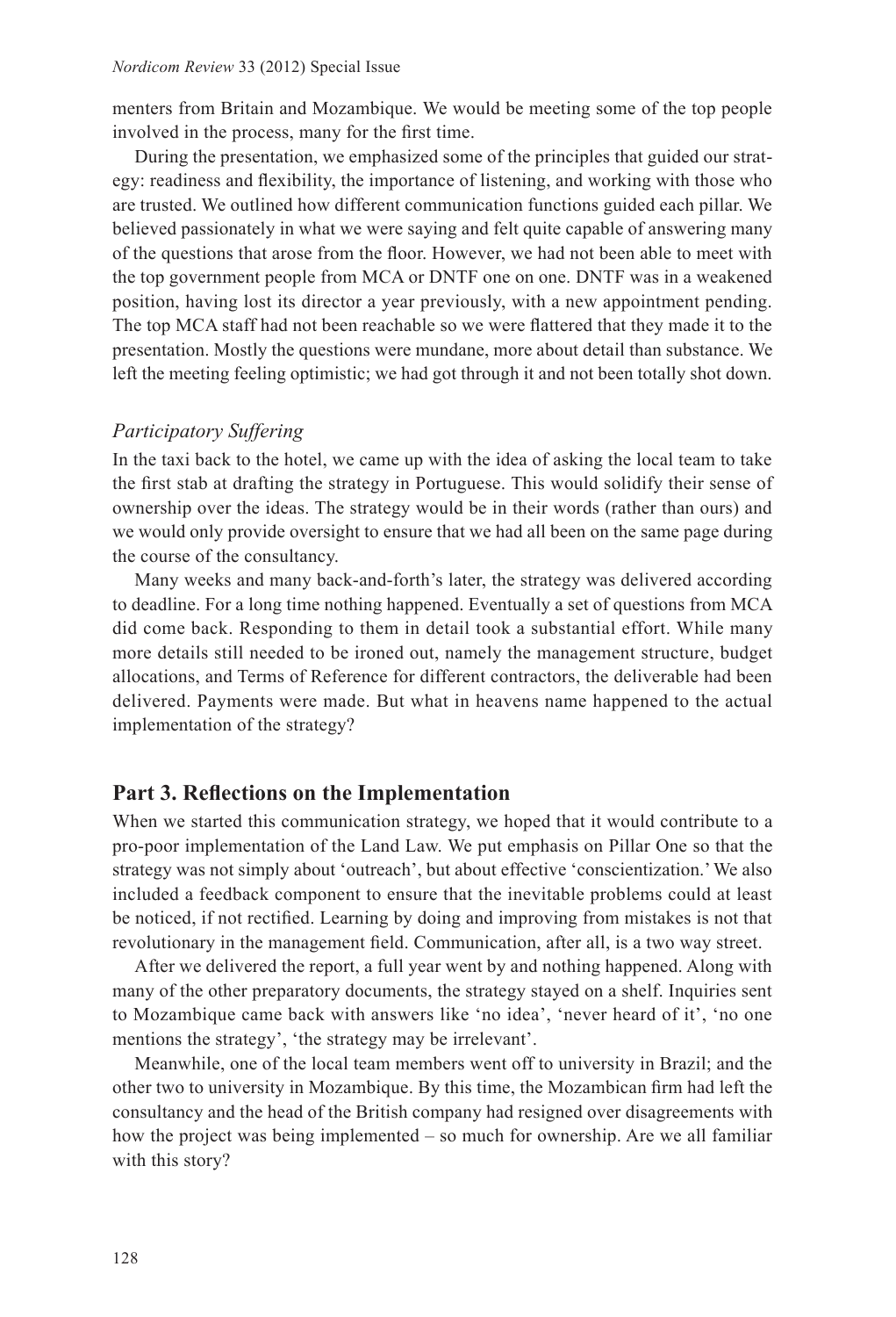menters from Britain and Mozambique. We would be meeting some of the top people involved in the process, many for the first time.

During the presentation, we emphasized some of the principles that guided our strategy: readiness and flexibility, the importance of listening, and working with those who are trusted. We outlined how different communication functions guided each pillar. We believed passionately in what we were saying and felt quite capable of answering many of the questions that arose from the floor. However, we had not been able to meet with the top government people from MCA or DNTF one on one. DNTF was in a weakened position, having lost its director a year previously, with a new appointment pending. The top MCA staff had not been reachable so we were flattered that they made it to the presentation. Mostly the questions were mundane, more about detail than substance. We left the meeting feeling optimistic; we had got through it and not been totally shot down.

# *Participatory Suffering*

In the taxi back to the hotel, we came up with the idea of asking the local team to take the first stab at drafting the strategy in Portuguese. This would solidify their sense of ownership over the ideas. The strategy would be in their words (rather than ours) and we would only provide oversight to ensure that we had all been on the same page during the course of the consultancy.

Many weeks and many back-and-forth's later, the strategy was delivered according to deadline. For a long time nothing happened. Eventually a set of questions from MCA did come back. Responding to them in detail took a substantial effort. While many more details still needed to be ironed out, namely the management structure, budget allocations, and Terms of Reference for different contractors, the deliverable had been delivered. Payments were made. But what in heavens name happened to the actual implementation of the strategy?

# **Part 3. Reflections on the Implementation**

When we started this communication strategy, we hoped that it would contribute to a pro-poor implementation of the Land Law. We put emphasis on Pillar One so that the strategy was not simply about 'outreach', but about effective 'conscientization.' We also included a feedback component to ensure that the inevitable problems could at least be noticed, if not rectified. Learning by doing and improving from mistakes is not that revolutionary in the management field. Communication, after all, is a two way street.

After we delivered the report, a full year went by and nothing happened. Along with many of the other preparatory documents, the strategy stayed on a shelf. Inquiries sent to Mozambique came back with answers like 'no idea', 'never heard of it', 'no one mentions the strategy', 'the strategy may be irrelevant'.

Meanwhile, one of the local team members went off to university in Brazil; and the other two to university in Mozambique. By this time, the Mozambican firm had left the consultancy and the head of the British company had resigned over disagreements with how the project was being implemented – so much for ownership. Are we all familiar with this story?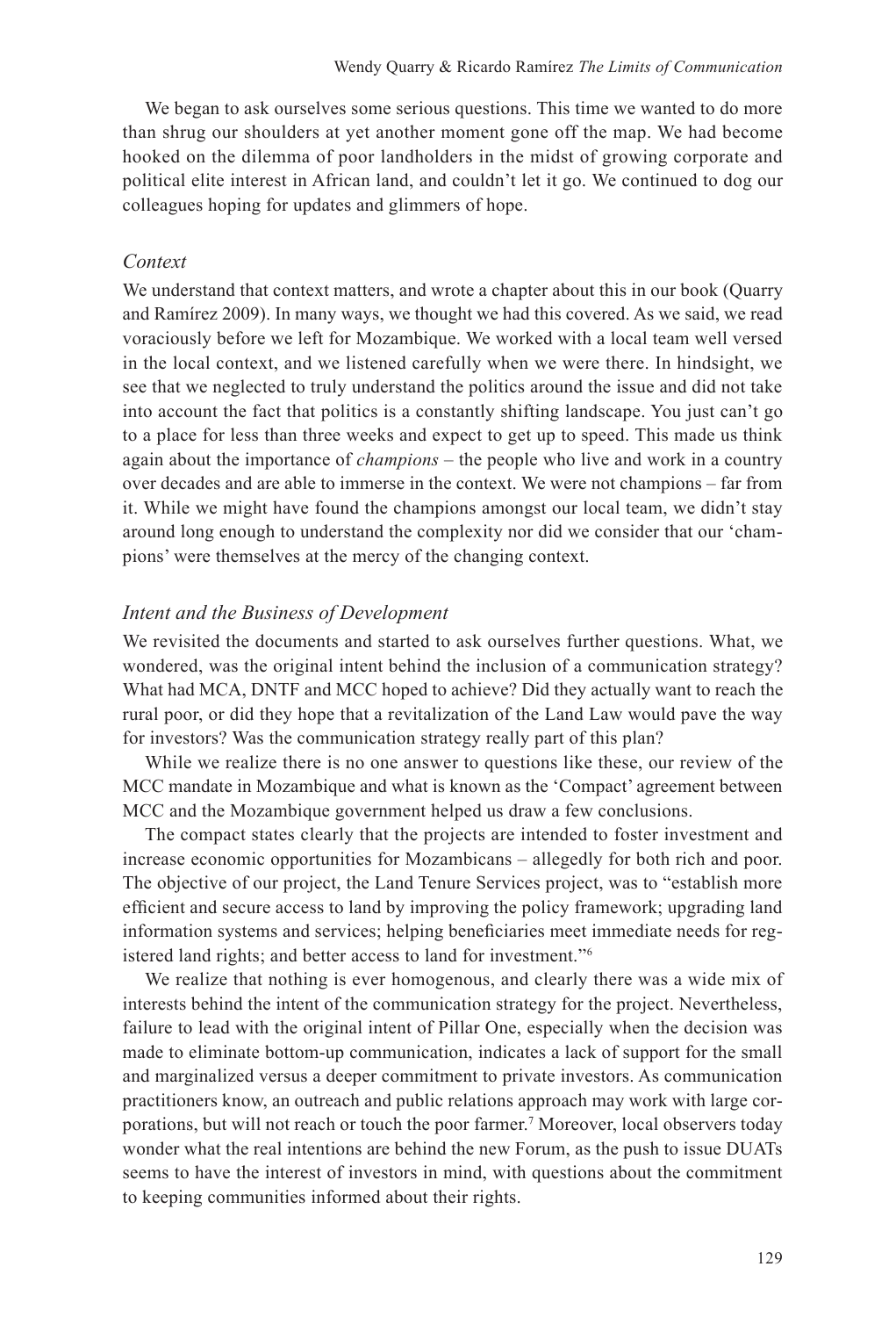We began to ask ourselves some serious questions. This time we wanted to do more than shrug our shoulders at yet another moment gone off the map. We had become hooked on the dilemma of poor landholders in the midst of growing corporate and political elite interest in African land, and couldn't let it go. We continued to dog our colleagues hoping for updates and glimmers of hope.

#### *Context*

We understand that context matters, and wrote a chapter about this in our book (Quarry and Ramírez 2009). In many ways, we thought we had this covered. As we said, we read voraciously before we left for Mozambique. We worked with a local team well versed in the local context, and we listened carefully when we were there. In hindsight, we see that we neglected to truly understand the politics around the issue and did not take into account the fact that politics is a constantly shifting landscape. You just can't go to a place for less than three weeks and expect to get up to speed. This made us think again about the importance of *champions* – the people who live and work in a country over decades and are able to immerse in the context. We were not champions – far from it. While we might have found the champions amongst our local team, we didn't stay around long enough to understand the complexity nor did we consider that our 'champions' were themselves at the mercy of the changing context.

## *Intent and the Business of Development*

We revisited the documents and started to ask ourselves further questions. What, we wondered, was the original intent behind the inclusion of a communication strategy? What had MCA, DNTF and MCC hoped to achieve? Did they actually want to reach the rural poor, or did they hope that a revitalization of the Land Law would pave the way for investors? Was the communication strategy really part of this plan?

While we realize there is no one answer to questions like these, our review of the MCC mandate in Mozambique and what is known as the 'Compact' agreement between MCC and the Mozambique government helped us draw a few conclusions.

The compact states clearly that the projects are intended to foster investment and increase economic opportunities for Mozambicans – allegedly for both rich and poor. The objective of our project, the Land Tenure Services project, was to "establish more efficient and secure access to land by improving the policy framework; upgrading land information systems and services; helping beneficiaries meet immediate needs for registered land rights; and better access to land for investment."6

We realize that nothing is ever homogenous, and clearly there was a wide mix of interests behind the intent of the communication strategy for the project. Nevertheless, failure to lead with the original intent of Pillar One, especially when the decision was made to eliminate bottom-up communication, indicates a lack of support for the small and marginalized versus a deeper commitment to private investors. As communication practitioners know, an outreach and public relations approach may work with large corporations, but will not reach or touch the poor farmer.<sup>7</sup> Moreover, local observers today wonder what the real intentions are behind the new Forum, as the push to issue DUATs seems to have the interest of investors in mind, with questions about the commitment to keeping communities informed about their rights.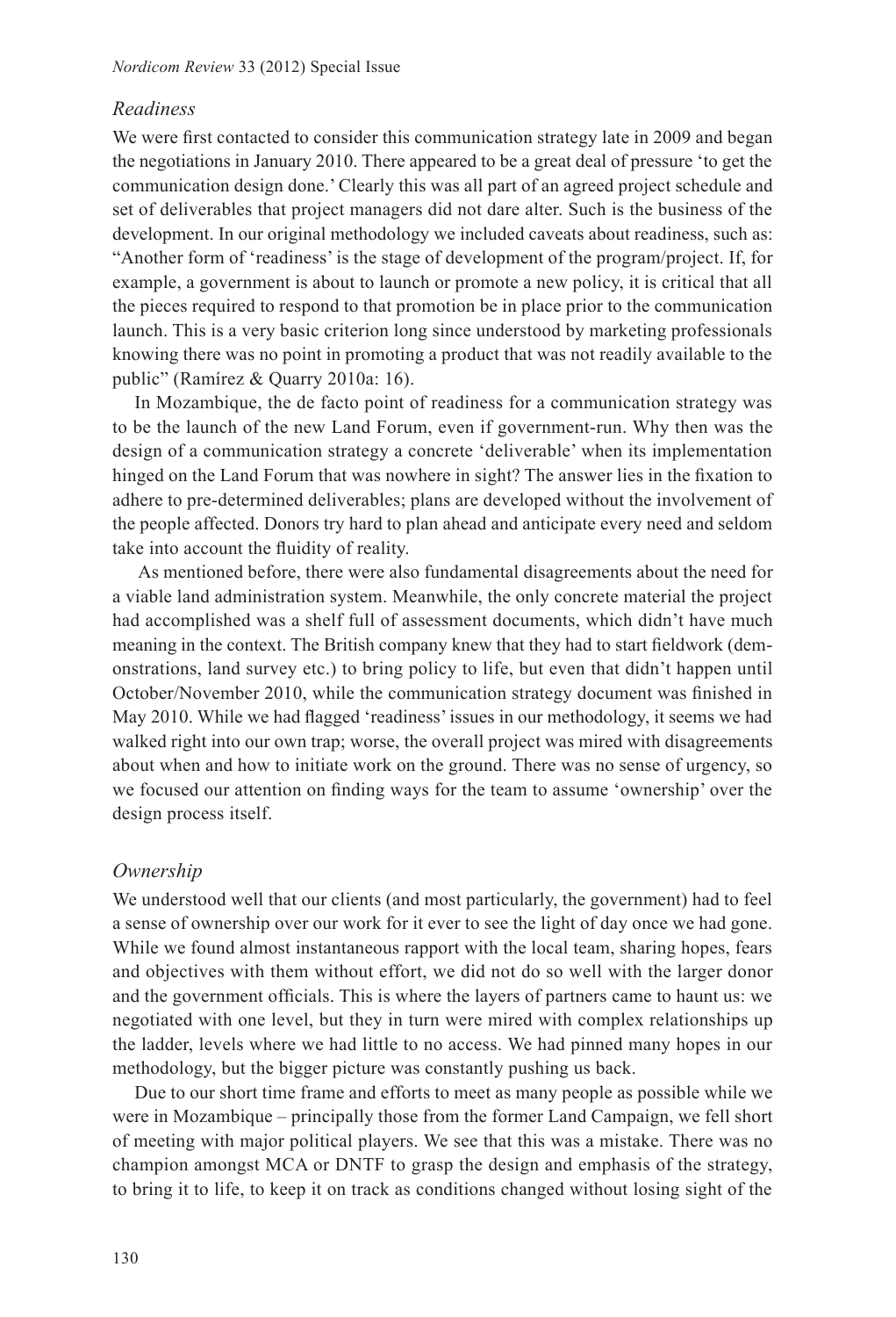# *Readiness*

We were first contacted to consider this communication strategy late in 2009 and began the negotiations in January 2010. There appeared to be a great deal of pressure 'to get the communication design done.' Clearly this was all part of an agreed project schedule and set of deliverables that project managers did not dare alter. Such is the business of the development. In our original methodology we included caveats about readiness, such as: "Another form of 'readiness' is the stage of development of the program/project. If, for example, a government is about to launch or promote a new policy, it is critical that all the pieces required to respond to that promotion be in place prior to the communication launch. This is a very basic criterion long since understood by marketing professionals knowing there was no point in promoting a product that was not readily available to the public" (Ramírez & Quarry 2010a: 16).

In Mozambique, the de facto point of readiness for a communication strategy was to be the launch of the new Land Forum, even if government-run. Why then was the design of a communication strategy a concrete 'deliverable' when its implementation hinged on the Land Forum that was nowhere in sight? The answer lies in the fixation to adhere to pre-determined deliverables; plans are developed without the involvement of the people affected. Donors try hard to plan ahead and anticipate every need and seldom take into account the fluidity of reality.

 As mentioned before, there were also fundamental disagreements about the need for a viable land administration system. Meanwhile, the only concrete material the project had accomplished was a shelf full of assessment documents, which didn't have much meaning in the context. The British company knew that they had to start fieldwork (demonstrations, land survey etc.) to bring policy to life, but even that didn't happen until October/November 2010, while the communication strategy document was finished in May 2010. While we had flagged 'readiness' issues in our methodology, it seems we had walked right into our own trap; worse, the overall project was mired with disagreements about when and how to initiate work on the ground. There was no sense of urgency, so we focused our attention on finding ways for the team to assume 'ownership' over the design process itself.

# *Ownership*

We understood well that our clients (and most particularly, the government) had to feel a sense of ownership over our work for it ever to see the light of day once we had gone. While we found almost instantaneous rapport with the local team, sharing hopes, fears and objectives with them without effort, we did not do so well with the larger donor and the government officials. This is where the layers of partners came to haunt us: we negotiated with one level, but they in turn were mired with complex relationships up the ladder, levels where we had little to no access. We had pinned many hopes in our methodology, but the bigger picture was constantly pushing us back.

Due to our short time frame and efforts to meet as many people as possible while we were in Mozambique – principally those from the former Land Campaign, we fell short of meeting with major political players. We see that this was a mistake. There was no champion amongst MCA or DNTF to grasp the design and emphasis of the strategy, to bring it to life, to keep it on track as conditions changed without losing sight of the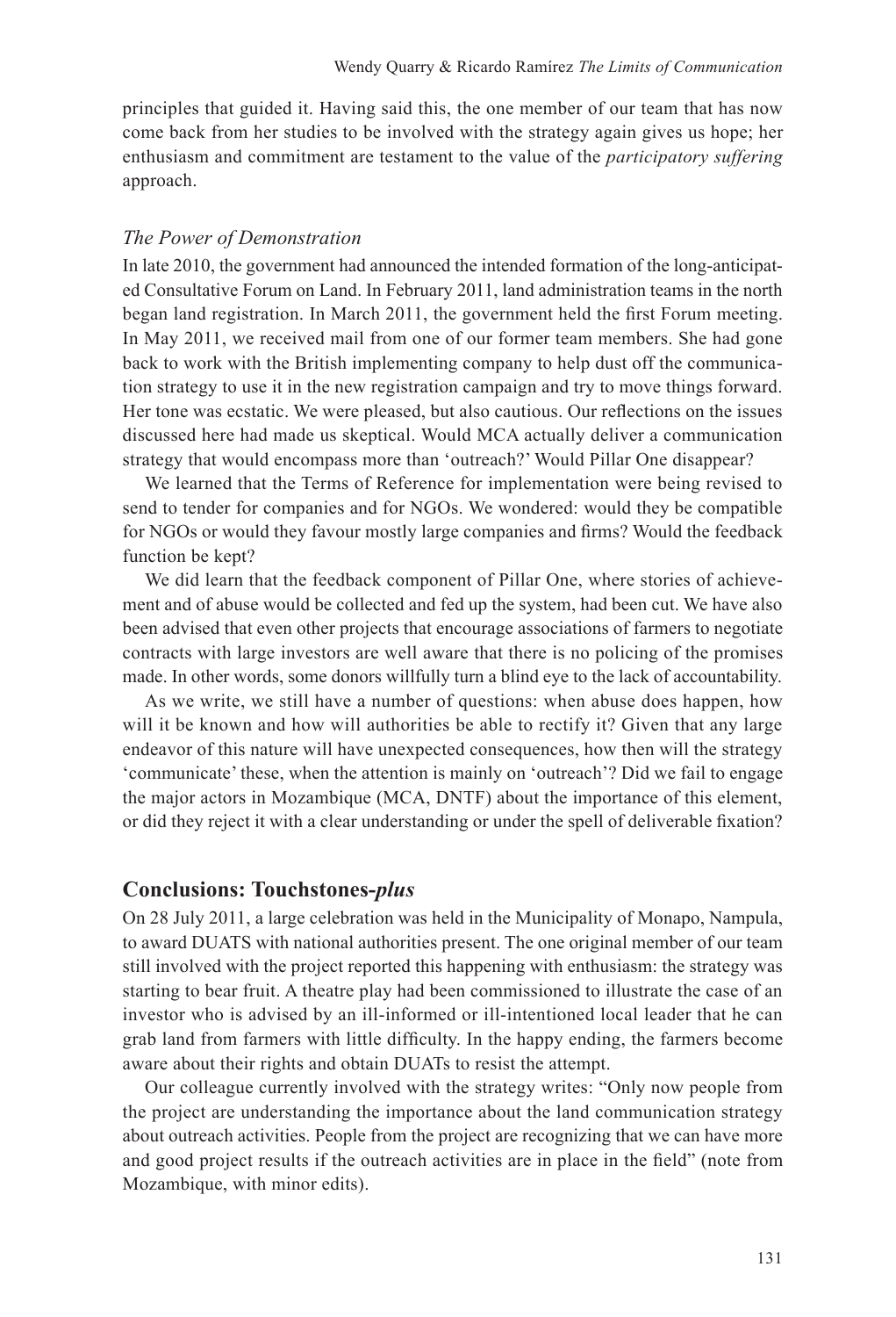principles that guided it. Having said this, the one member of our team that has now come back from her studies to be involved with the strategy again gives us hope; her enthusiasm and commitment are testament to the value of the *participatory suffering* approach.

#### *The Power of Demonstration*

In late 2010, the government had announced the intended formation of the long-anticipated Consultative Forum on Land. In February 2011, land administration teams in the north began land registration. In March 2011, the government held the first Forum meeting. In May 2011, we received mail from one of our former team members. She had gone back to work with the British implementing company to help dust off the communication strategy to use it in the new registration campaign and try to move things forward. Her tone was ecstatic. We were pleased, but also cautious. Our reflections on the issues discussed here had made us skeptical. Would MCA actually deliver a communication strategy that would encompass more than 'outreach?' Would Pillar One disappear?

We learned that the Terms of Reference for implementation were being revised to send to tender for companies and for NGOs. We wondered: would they be compatible for NGOs or would they favour mostly large companies and firms? Would the feedback function be kept?

We did learn that the feedback component of Pillar One, where stories of achievement and of abuse would be collected and fed up the system, had been cut. We have also been advised that even other projects that encourage associations of farmers to negotiate contracts with large investors are well aware that there is no policing of the promises made. In other words, some donors willfully turn a blind eye to the lack of accountability.

As we write, we still have a number of questions: when abuse does happen, how will it be known and how will authorities be able to rectify it? Given that any large endeavor of this nature will have unexpected consequences, how then will the strategy 'communicate' these, when the attention is mainly on 'outreach'? Did we fail to engage the major actors in Mozambique (MCA, DNTF) about the importance of this element, or did they reject it with a clear understanding or under the spell of deliverable fixation?

# **Conclusions: Touchstones-***plus*

On 28 July 2011, a large celebration was held in the Municipality of Monapo, Nampula, to award DUATS with national authorities present. The one original member of our team still involved with the project reported this happening with enthusiasm: the strategy was starting to bear fruit. A theatre play had been commissioned to illustrate the case of an investor who is advised by an ill-informed or ill-intentioned local leader that he can grab land from farmers with little difficulty. In the happy ending, the farmers become aware about their rights and obtain DUATs to resist the attempt.

Our colleague currently involved with the strategy writes: "Only now people from the project are understanding the importance about the land communication strategy about outreach activities. People from the project are recognizing that we can have more and good project results if the outreach activities are in place in the field" (note from Mozambique, with minor edits).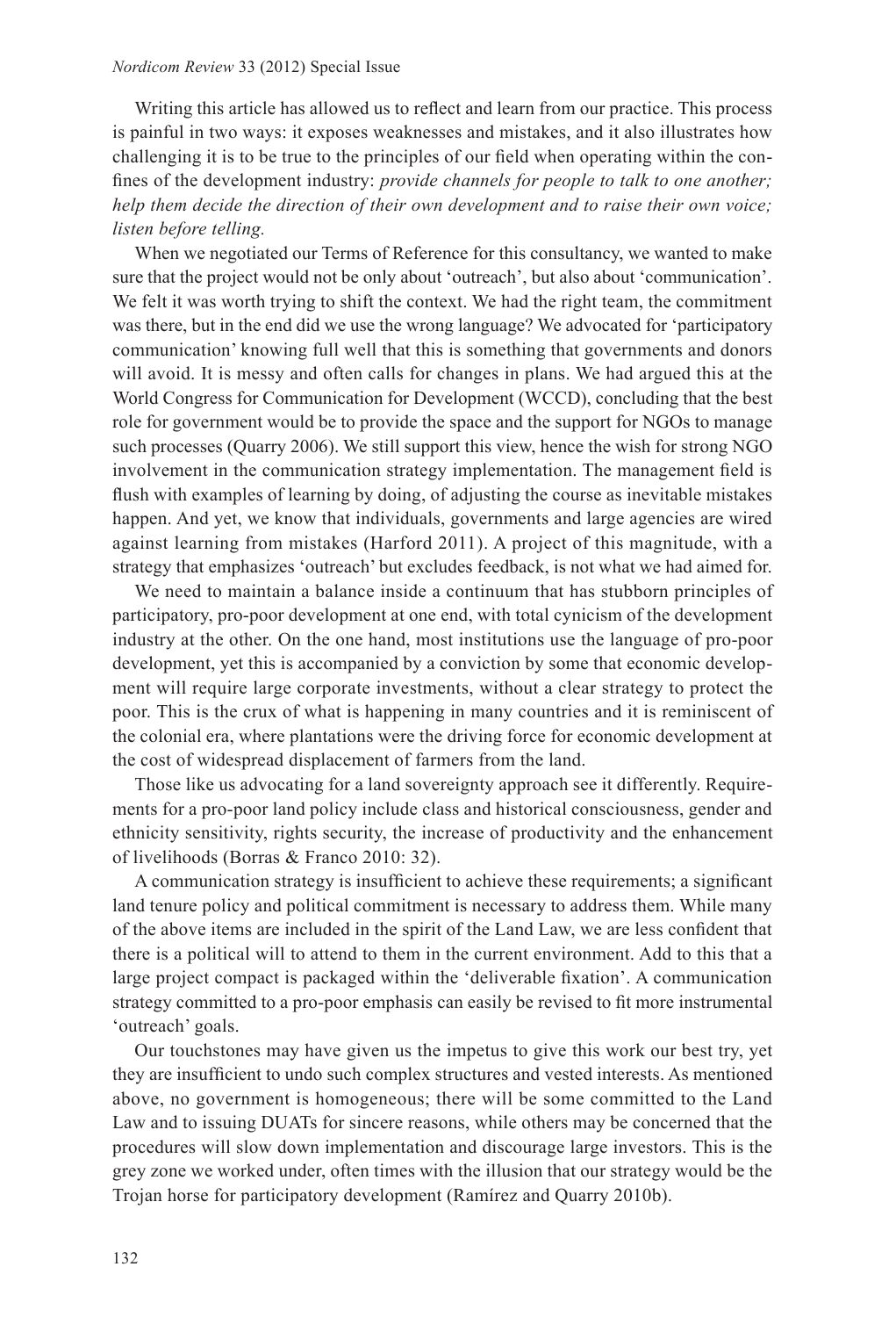Writing this article has allowed us to reflect and learn from our practice. This process is painful in two ways: it exposes weaknesses and mistakes, and it also illustrates how challenging it is to be true to the principles of our field when operating within the confines of the development industry: *provide channels for people to talk to one another; help them decide the direction of their own development and to raise their own voice; listen before telling.* 

When we negotiated our Terms of Reference for this consultancy, we wanted to make sure that the project would not be only about 'outreach', but also about 'communication'. We felt it was worth trying to shift the context. We had the right team, the commitment was there, but in the end did we use the wrong language? We advocated for 'participatory communication' knowing full well that this is something that governments and donors will avoid. It is messy and often calls for changes in plans. We had argued this at the World Congress for Communication for Development (WCCD), concluding that the best role for government would be to provide the space and the support for NGOs to manage such processes (Quarry 2006). We still support this view, hence the wish for strong NGO involvement in the communication strategy implementation. The management field is flush with examples of learning by doing, of adjusting the course as inevitable mistakes happen. And yet, we know that individuals, governments and large agencies are wired against learning from mistakes (Harford 2011). A project of this magnitude, with a strategy that emphasizes 'outreach' but excludes feedback, is not what we had aimed for.

We need to maintain a balance inside a continuum that has stubborn principles of participatory, pro-poor development at one end, with total cynicism of the development industry at the other. On the one hand, most institutions use the language of pro-poor development, yet this is accompanied by a conviction by some that economic development will require large corporate investments, without a clear strategy to protect the poor. This is the crux of what is happening in many countries and it is reminiscent of the colonial era, where plantations were the driving force for economic development at the cost of widespread displacement of farmers from the land.

Those like us advocating for a land sovereignty approach see it differently. Requirements for a pro-poor land policy include class and historical consciousness, gender and ethnicity sensitivity, rights security, the increase of productivity and the enhancement of livelihoods (Borras & Franco 2010: 32).

A communication strategy is insufficient to achieve these requirements; a significant land tenure policy and political commitment is necessary to address them. While many of the above items are included in the spirit of the Land Law, we are less confident that there is a political will to attend to them in the current environment. Add to this that a large project compact is packaged within the 'deliverable fixation'. A communication strategy committed to a pro-poor emphasis can easily be revised to fit more instrumental 'outreach' goals.

Our touchstones may have given us the impetus to give this work our best try, yet they are insufficient to undo such complex structures and vested interests. As mentioned above, no government is homogeneous; there will be some committed to the Land Law and to issuing DUATs for sincere reasons, while others may be concerned that the procedures will slow down implementation and discourage large investors. This is the grey zone we worked under, often times with the illusion that our strategy would be the Trojan horse for participatory development (Ramírez and Quarry 2010b).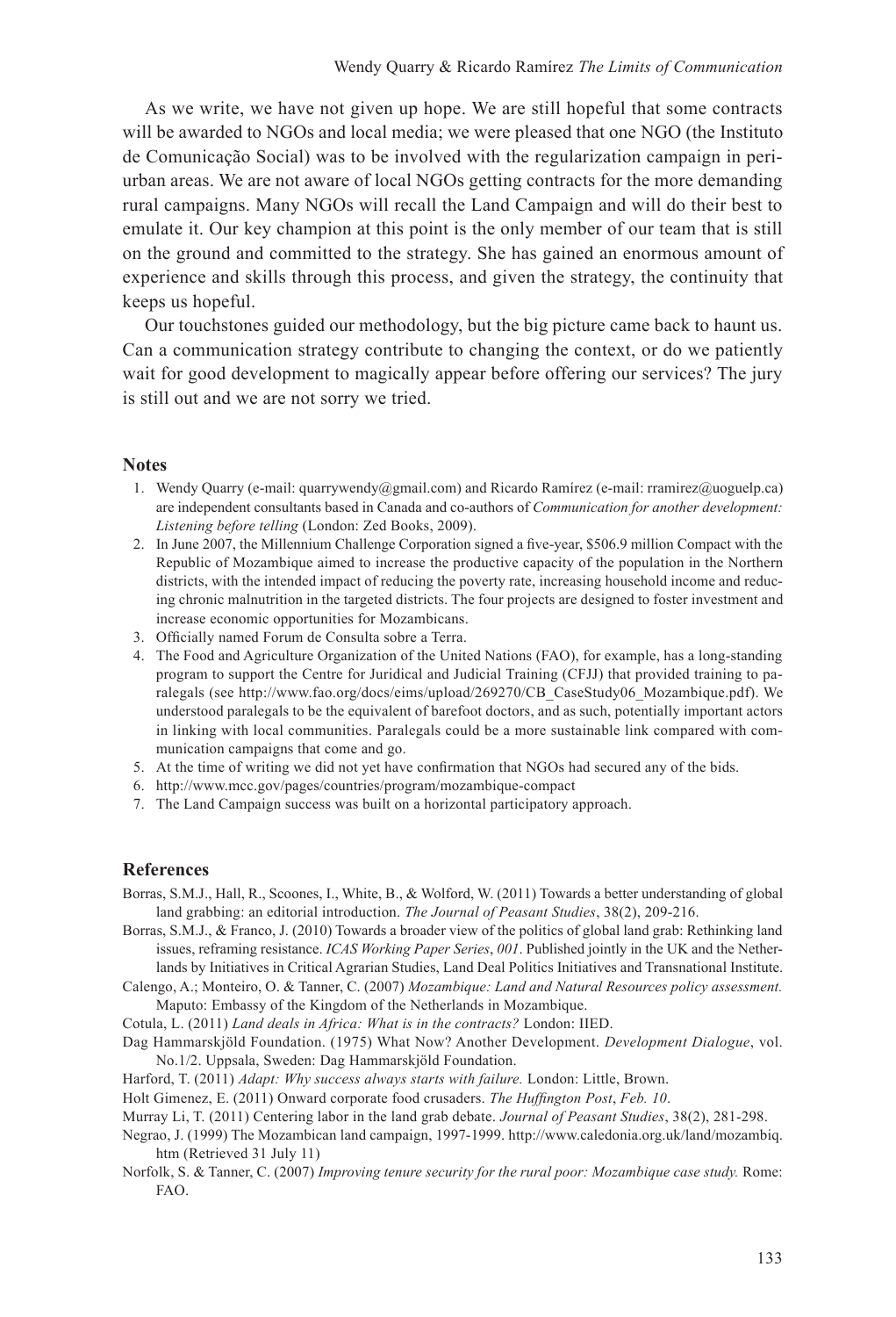As we write, we have not given up hope. We are still hopeful that some contracts will be awarded to NGOs and local media; we were pleased that one NGO (the Instituto de Comunicação Social) was to be involved with the regularization campaign in periurban areas. We are not aware of local NGOs getting contracts for the more demanding rural campaigns. Many NGOs will recall the Land Campaign and will do their best to emulate it. Our key champion at this point is the only member of our team that is still on the ground and committed to the strategy. She has gained an enormous amount of experience and skills through this process, and given the strategy, the continuity that keeps us hopeful.

Our touchstones guided our methodology, but the big picture came back to haunt us. Can a communication strategy contribute to changing the context, or do we patiently wait for good development to magically appear before offering our services? The jury is still out and we are not sorry we tried.

#### **Notes**

- 1. Wendy Quarry (e-mail: quarrywendy@gmail.com) and Ricardo Ramírez (e-mail: rramirez@uoguelp.ca) are independent consultants based in Canada and co-authors of *Communication for another development: Listening before telling* (London: Zed Books, 2009).
- 2. In June 2007, the Millennium Challenge Corporation signed a five-year, \$506.9 million Compact with the Republic of Mozambique aimed to increase the productive capacity of the population in the Northern districts, with the intended impact of reducing the poverty rate, increasing household income and reducing chronic malnutrition in the targeted districts. The four projects are designed to foster investment and increase economic opportunities for Mozambicans.
- 3. Officially named Forum de Consulta sobre a Terra.
- 4. The Food and Agriculture Organization of the United Nations (FAO), for example, has a long-standing program to support the Centre for Juridical and Judicial Training (CFJJ) that provided training to paralegals (see http://www.fao.org/docs/eims/upload/269270/CB\_CaseStudy06\_Mozambique.pdf). We understood paralegals to be the equivalent of barefoot doctors, and as such, potentially important actors in linking with local communities. Paralegals could be a more sustainable link compared with communication campaigns that come and go.
- 5. At the time of writing we did not yet have confirmation that NGOs had secured any of the bids.
- 6. http://www.mcc.gov/pages/countries/program/mozambique-compact
- 7. The Land Campaign success was built on a horizontal participatory approach.

#### **References**

- Borras, S.M.J., Hall, R., Scoones, I., White, B., & Wolford, W. (2011) Towards a better understanding of global land grabbing: an editorial introduction. *The Journal of Peasant Studies*, 38(2), 209-216.
- Borras, S.M.J., & Franco, J. (2010) Towards a broader view of the politics of global land grab: Rethinking land issues, reframing resistance. *ICAS Working Paper Series*, *001*. Published jointly in the UK and the Netherlands by Initiatives in Critical Agrarian Studies, Land Deal Politics Initiatives and Transnational Institute.
- Calengo, A.; Monteiro, O. & Tanner, C. (2007) *Mozambique: Land and Natural Resources policy assessment.*  Maputo: Embassy of the Kingdom of the Netherlands in Mozambique.
- Cotula, L. (2011) *Land deals in Africa: What is in the contracts?* London: IIED.
- Dag Hammarskjöld Foundation. (1975) What Now? Another Development. *Development Dialogue*, vol. No.1/2. Uppsala, Sweden: Dag Hammarskjöld Foundation.
- Harford, T. (2011) *Adapt: Why success always starts with failure.* London: Little, Brown.
- Holt Gimenez, E. (2011) Onward corporate food crusaders. *The Huffington Post*, *Feb. 10*.
- Murray Li, T. (2011) Centering labor in the land grab debate. *Journal of Peasant Studies*, 38(2), 281-298.
- Negrao, J. (1999) The Mozambican land campaign, 1997-1999. http://www.caledonia.org.uk/land/mozambiq. htm (Retrieved 31 July 11)
- Norfolk, S. & Tanner, C. (2007) *Improving tenure security for the rural poor: Mozambique case study.* Rome: FAO.